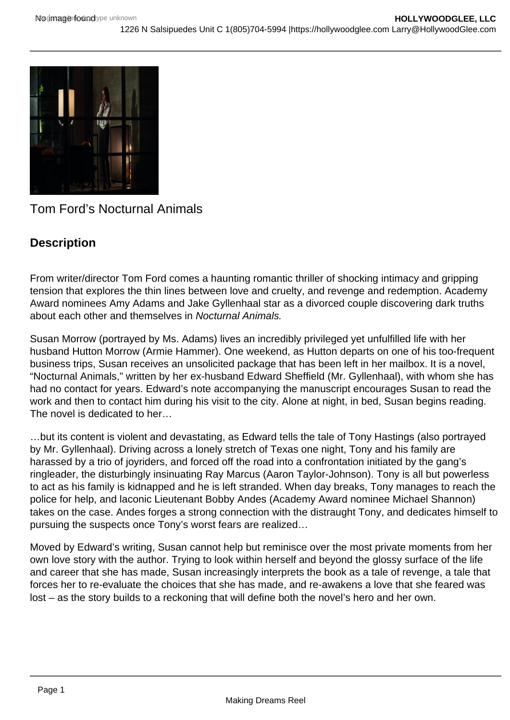

Tom Ford's Nocturnal Animals

# **Description**

From writer/director Tom Ford comes a haunting romantic thriller of shocking intimacy and gripping tension that explores the thin lines between love and cruelty, and revenge and redemption. Academy Award nominees Amy Adams and Jake Gyllenhaal star as a divorced couple discovering dark truths about each other and themselves in Nocturnal Animals.

Susan Morrow (portrayed by Ms. Adams) lives an incredibly privileged yet unfulfilled life with her husband Hutton Morrow (Armie Hammer). One weekend, as Hutton departs on one of his too-frequent business trips, Susan receives an unsolicited package that has been left in her mailbox. It is a novel, "Nocturnal Animals," written by her ex-husband Edward Sheffield (Mr. Gyllenhaal), with whom she has had no contact for years. Edward's note accompanying the manuscript encourages Susan to read the work and then to contact him during his visit to the city. Alone at night, in bed, Susan begins reading. The novel is dedicated to her

…but its content is violent and devastating, as Edward tells the tale of Tony Hastings (also portrayed by Mr. Gyllenhaal). Driving across a lonely stretch of Texas one night, Tony and his family are harassed by a trio of joyriders, and forced off the road into a confrontation initiated by the gang's ringleader, the disturbingly insinuating Ray Marcus (Aaron Taylor-Johnson). Tony is all but powerless to act as his family is kidnapped and he is left stranded. When day breaks, Tony manages to reach the police for help, and laconic Lieutenant Bobby Andes (Academy Award nominee Michael Shannon) takes on the case. Andes forges a strong connection with the distraught Tony, and dedicates himself to pursuing the suspects once Tony's worst fears are realized…

Moved by Edward's writing, Susan cannot help but reminisce over the most private moments from her own love story with the author. Trying to look within herself and beyond the glossy surface of the life and career that she has made, Susan increasingly interprets the book as a tale of revenge, a tale that forces her to re-evaluate the choices that she has made, and re-awakens a love that she feared was lost – as the story builds to a reckoning that will define both the novel's hero and her own.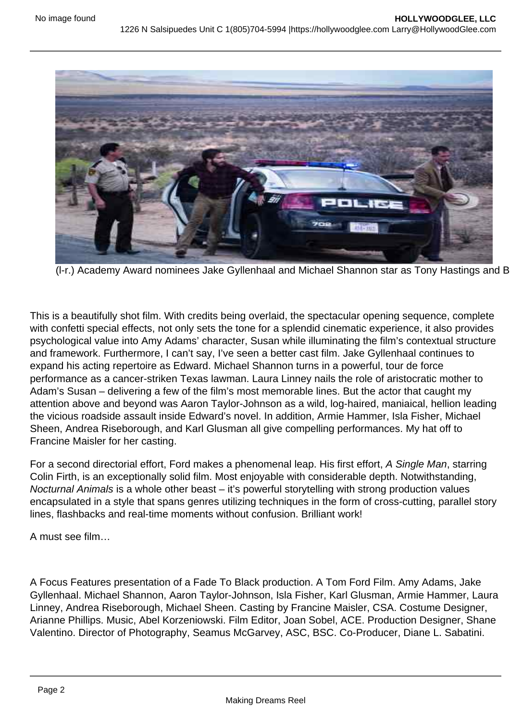

(I-r.) Academy Award nominees Jake Gyllenhaal and Michael Shannon star as Tony Hastings and B

This is a beautifully shot film. With credits being overlaid, the spectacular opening sequence, complete with confetti special effects, not only sets the tone for a splendid cinematic experience, it also provides psychological value into Amy Adams' character, Susan while illuminating the film's contextual structure and framework. Furthermore, I can't say, I've seen a better cast film. Jake Gyllenhaal continues to expand his acting repertoire as Edward. Michael Shannon turns in a powerful, tour de force performance as a cancer-striken Texas lawman. Laura Linney nails the role of aristocratic mother to Adam's Susan – delivering a few of the film's most memorable lines. But the actor that caught my attention above and beyond was Aaron Taylor-Johnson as a wild, log-haired, maniaical, hellion leading the vicious roadside assault inside Edward's novel. In addition, Armie Hammer, Isla Fisher, Michael Sheen, Andrea Riseborough, and Karl Glusman all give compelling performances. My hat off to Francine Maisler for her casting.

For a second directorial effort, Ford makes a phenomenal leap. His first effort, A Single Man, starring Colin Firth, is an exceptionally solid film. Most enjoyable with considerable depth. Notwithstanding, Nocturnal Animals is a whole other beast – it's powerful storytelling with strong production values encapsulated in a style that spans genres utilizing techniques in the form of cross-cutting, parallel story lines, flashbacks and real-time moments without confusion. Brilliant work!

A must see film…

A Focus Features presentation of a Fade To Black production. A Tom Ford Film. Amy Adams, Jake Gyllenhaal. Michael Shannon, Aaron Taylor-Johnson, Isla Fisher, Karl Glusman, Armie Hammer, Laura Linney, Andrea Riseborough, Michael Sheen. Casting by Francine Maisler, CSA. Costume Designer, Arianne Phillips. Music, Abel Korzeniowski. Film Editor, Joan Sobel, ACE. Production Designer, Shane Valentino. Director of Photography, Seamus McGarvey, ASC, BSC. Co-Producer, Diane L. Sabatini.